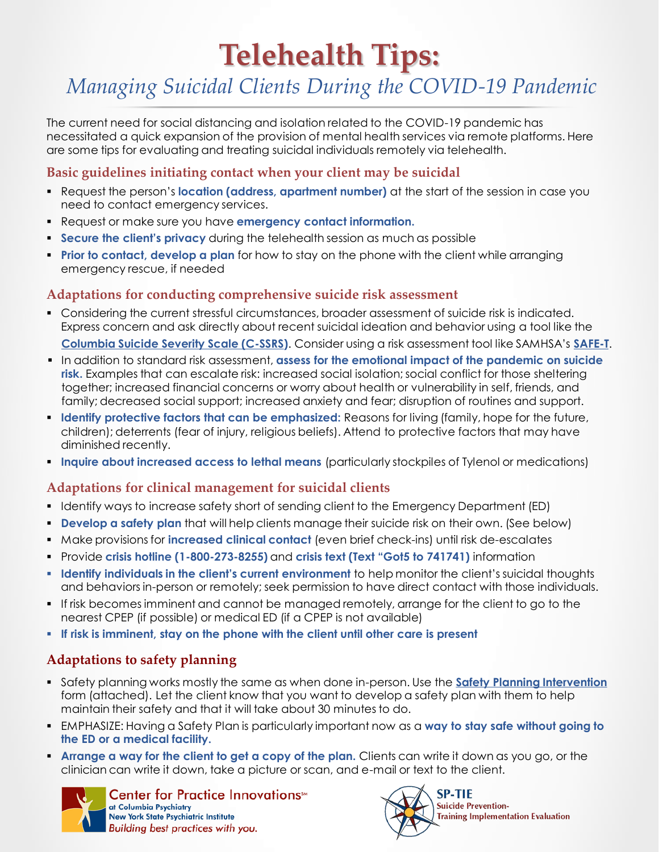# **Telehealth Tips:**

# *Managing Suicidal Clients During the COVID-19 Pandemic*

The current need for social distancing and isolation related to the COVID-19 pandemic has necessitated a quick expansion of the provision of mental health services via remote platforms. Here are some tips for evaluating and treating suicidal individuals remotely via telehealth.

#### **Basic guidelines initiating contact when your client may be suicidal**

- **Request the person's location (address, apartment number)** at the start of the session in case you need to contact emergency services.
- Request or make sure you have **emergency contact information.**
- **Secure the client's privacy** during the telehealth session as much as possible
- **Prior to contact, develop a plan** for how to stay on the phone with the client while arranging emergency rescue, if needed

#### **Adaptations for conducting comprehensive suicide risk assessment**

- Considering the current stressful circumstances, broader assessment of suicide risk is indicated. Express concern and ask directly about recent suicidal ideation and behavior using a tool like the **[Columbia Suicide Severity Scale \(C-SSRS\)](http://cssrs.columbia.edu/)**. Consider using a risk assessment tool like SAMHSA's **[SAFE-T](https://www.integration.samhsa.gov/images/res/SAFE_T.pdf)**.
- In addition to standard risk assessment, **assess for the emotional impact of the pandemic on suicide risk.** Examples that can escalate risk: increased social isolation; social conflict for those sheltering together; increased financial concerns or worry about health or vulnerability in self, friends, and family; decreased social support; increased anxiety and fear; disruption of routines and support.
- **Identify protective factors that can be emphasized:** Reasons for living (family, hope for the future, children); deterrents (fear of injury, religious beliefs). Attend to protective factors that may have diminished recently.
- **Inquire about increased access to lethal means** (particularly stockpiles of Tylenol or medications)

### **Adaptations for clinical management for suicidal clients**

- Identify ways to increase safety short of sending client to the Emergency Department (ED)
- **Develop a safety plan** that will help clients manage their suicide risk on their own. (See below)
- Make provisions for **increased clinical contact** (even brief check-ins) until risk de-escalates
- Provide **crisis hotline (1-800-273-8255)** and **crisis text (Text "Got5 to 741741)** information
- **Identify individuals in the client's current environment** to help monitor the client's suicidal thoughts and behaviors in-person or remotely; seek permission to have direct contact with those individuals.
- **.** If risk becomes imminent and cannot be managed remotely, arrange for the client to go to the nearest CPEP (if possible) or medical ED (if a CPEP is not available)
- **If risk is imminent, stay on the phone with the client until other care is present**

## **Adaptations to safety planning**

- Safety planning works mostly the same as when done in-person. Use the **[Safety Planning Intervention](http://suicidesafetyplan.com/)**  form (attached). Let the client know that you want to develop a safety plan with them to help maintain their safety and that it will take about 30 minutes to do.
- EMPHASIZE: Having a Safety Plan is particularly important now as a **way to stay safe without going to the ED or a medical facility.**
- **Arrange a way for the client to get a copy of the plan.** Clients can write it down as you go, or the clinician can write it down, take a picture or scan, and e-mail or text to the client.



Center for Practice Innovations™ at Columbia Psychiatry **New York State Psychiatric Institute** Building best practices with you.